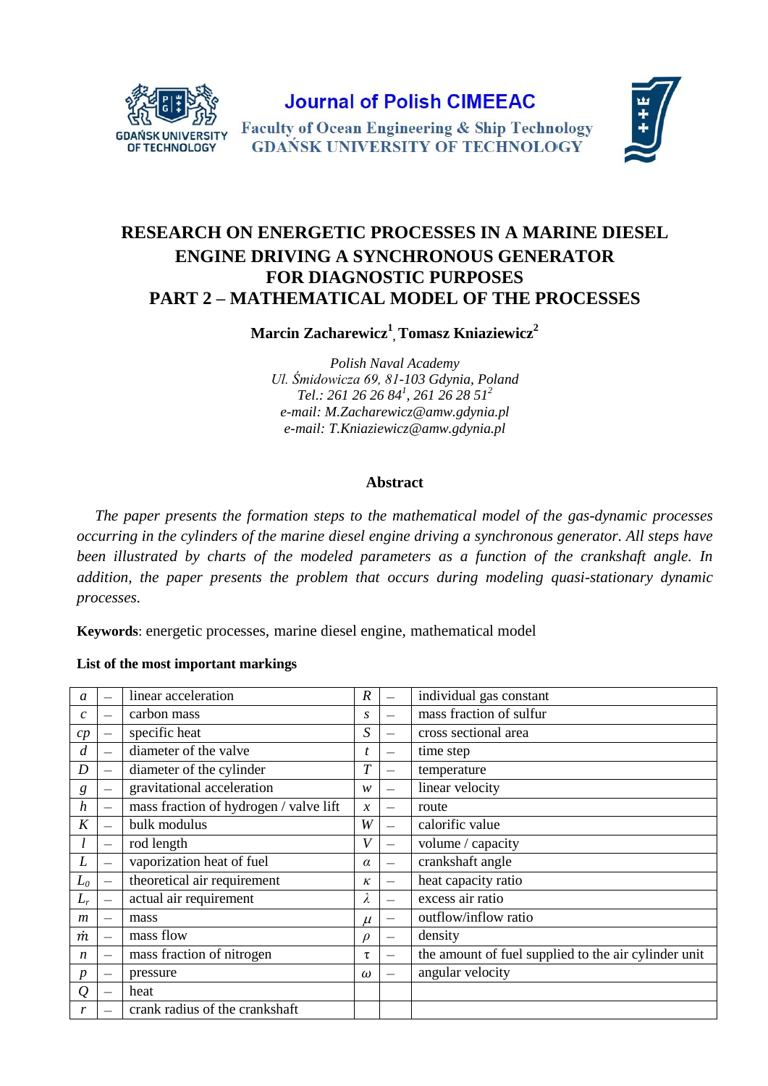

**Journal of Polish CIMEEAC** 

**Faculty of Ocean Engineering & Ship Technology GDANSK UNIVERSITY OF TECHNOLOGY** 



# **RESEARCH ON ENERGETIC PROCESSES IN A MARINE DIESEL ENGINE DRIVING A SYNCHRONOUS GENERATOR FOR DIAGNOSTIC PURPOSES PART 2 – MATHEMATICAL MODEL OF THE PROCESSES**

**Marcin Zacharewicz<sup>1</sup> , Tomasz Kniaziewicz<sup>2</sup>**

*Polish Naval Academy Ul. Śmidowicza 69, 81-103 Gdynia, Poland Tel.: 261 26 26 84<sup>1</sup> , 261 26 28 51<sup>2</sup> e-mail: M.Zacharewicz@amw.gdynia.pl e-mail: T.Kniaziewicz@amw.gdynia.pl*

# **Abstract**

*The paper presents the formation steps to the mathematical model of the gas-dynamic processes occurring in the cylinders of the marine diesel engine driving a synchronous generator. All steps have been illustrated by charts of the modeled parameters as a function of the crankshaft angle. In addition, the paper presents the problem that occurs during modeling quasi-stationary dynamic processes.*

**Keywords**: energetic processes, marine diesel engine, mathematical model

## **List of the most important markings**

| a                | $\overline{\phantom{0}}$ | linear acceleration                    | $\boldsymbol{R}$ |   | individual gas constant                              |
|------------------|--------------------------|----------------------------------------|------------------|---|------------------------------------------------------|
| $\mathcal{C}$    |                          | carbon mass                            | $\boldsymbol{S}$ |   | mass fraction of sulfur                              |
| cp               | —                        | specific heat                          | $\boldsymbol{S}$ |   | cross sectional area                                 |
| $\overline{d}$   |                          | diameter of the valve                  | t                | — | time step                                            |
| D                | $\overline{\phantom{0}}$ | diameter of the cylinder               | $\overline{T}$   |   | temperature                                          |
| g                | $\overline{\phantom{0}}$ | gravitational acceleration             | w                |   | linear velocity                                      |
| h                |                          | mass fraction of hydrogen / valve lift | $\mathcal{X}$    |   | route                                                |
| K                |                          | bulk modulus                           | W                |   | calorific value                                      |
|                  | $\overline{\phantom{0}}$ | rod length                             | V                |   | volume / capacity                                    |
| L                |                          | vaporization heat of fuel              | $\alpha$         |   | crankshaft angle                                     |
| $L_0$            | $\overline{\phantom{0}}$ | theoretical air requirement            | к                | — | heat capacity ratio                                  |
| $L_r$            | $\overline{\phantom{0}}$ | actual air requirement                 | λ                |   | excess air ratio                                     |
| $\boldsymbol{m}$ | $\overline{\phantom{0}}$ | mass                                   | $\mu$            | - | outflow/inflow ratio                                 |
| m                | $\overline{\phantom{0}}$ | mass flow                              | $\rho$           |   | density                                              |
| n                | -                        | mass fraction of nitrogen              | τ                | - | the amount of fuel supplied to the air cylinder unit |
| $\boldsymbol{p}$ |                          | pressure                               | $\omega$         |   | angular velocity                                     |
| $\mathcal{Q}$    |                          | heat                                   |                  |   |                                                      |
|                  |                          | crank radius of the crankshaft         |                  |   |                                                      |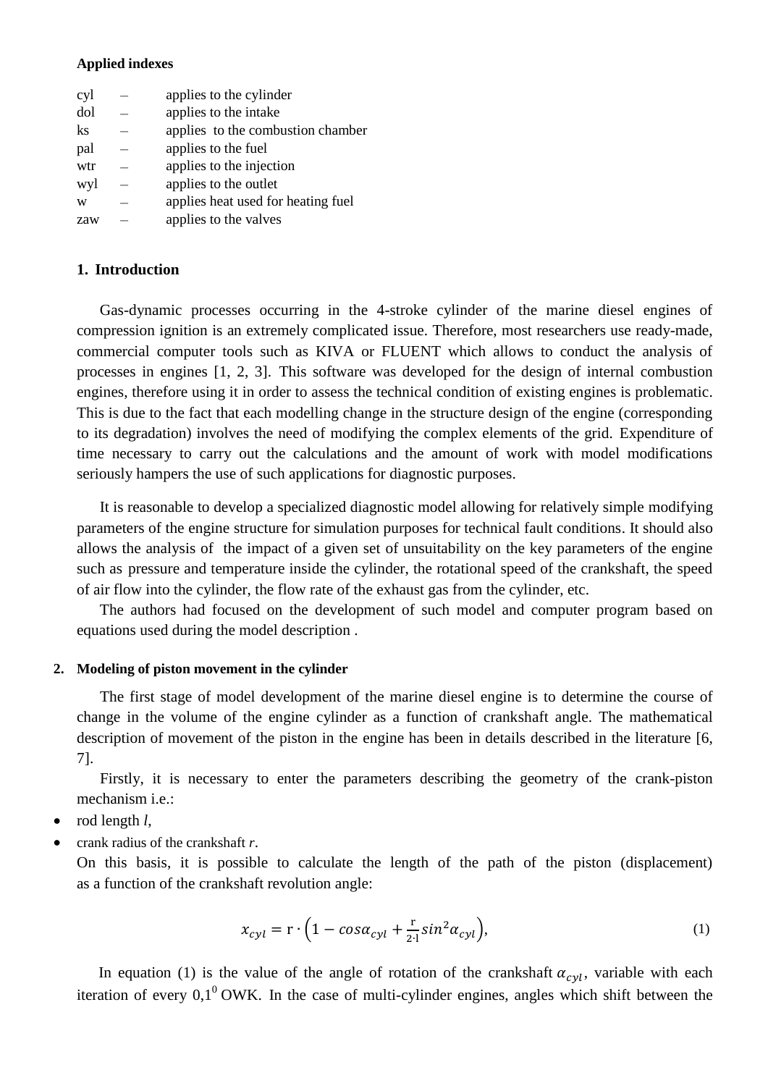### **Applied indexes**

| cyl | applies to the cylinder            |
|-----|------------------------------------|
| dol | applies to the intake              |
| ks  | applies to the combustion chamber  |
| pal | applies to the fuel                |
| wtr | applies to the injection           |
| wyl | applies to the outlet              |
| W   | applies heat used for heating fuel |
| zaw | applies to the valves              |
|     |                                    |

### **1. Introduction**

Gas-dynamic processes occurring in the 4-stroke cylinder of the marine diesel engines of compression ignition is an extremely complicated issue. Therefore, most researchers use ready-made, commercial computer tools such as KIVA or FLUENT which allows to conduct the analysis of processes in engines [1, 2, 3]. This software was developed for the design of internal combustion engines, therefore using it in order to assess the technical condition of existing engines is problematic. This is due to the fact that each modelling change in the structure design of the engine (corresponding to its degradation) involves the need of modifying the complex elements of the grid. Expenditure of time necessary to carry out the calculations and the amount of work with model modifications seriously hampers the use of such applications for diagnostic purposes.

It is reasonable to develop a specialized diagnostic model allowing for relatively simple modifying parameters of the engine structure for simulation purposes for technical fault conditions. It should also allows the analysis of the impact of a given set of unsuitability on the key parameters of the engine such as pressure and temperature inside the cylinder, the rotational speed of the crankshaft, the speed of air flow into the cylinder, the flow rate of the exhaust gas from the cylinder, etc.

The authors had focused on the development of such model and computer program based on equations used during the model description .

### **2. Modeling of piston movement in the cylinder**

The first stage of model development of the marine diesel engine is to determine the course of change in the volume of the engine cylinder as a function of crankshaft angle. The mathematical description of movement of the piston in the engine has been in details described in the literature [6, 7].

Firstly, it is necessary to enter the parameters describing the geometry of the crank-piston mechanism i.e.:

- rod length *l*,
- crank radius of the crankshaft *r*.

On this basis, it is possible to calculate the length of the path of the piston (displacement) as a function of the crankshaft revolution angle:

$$
x_{cyl} = \mathbf{r} \cdot \left( 1 - \cos \alpha_{cyl} + \frac{\mathbf{r}}{2 \cdot \mathbf{l}} \sin^2 \alpha_{cyl} \right),\tag{1}
$$

In equation (1) is the value of the angle of rotation of the crankshaft  $\alpha_{cvl}$ , variable with each iteration of every  $0,1^0$  OWK. In the case of multi-cylinder engines, angles which shift between the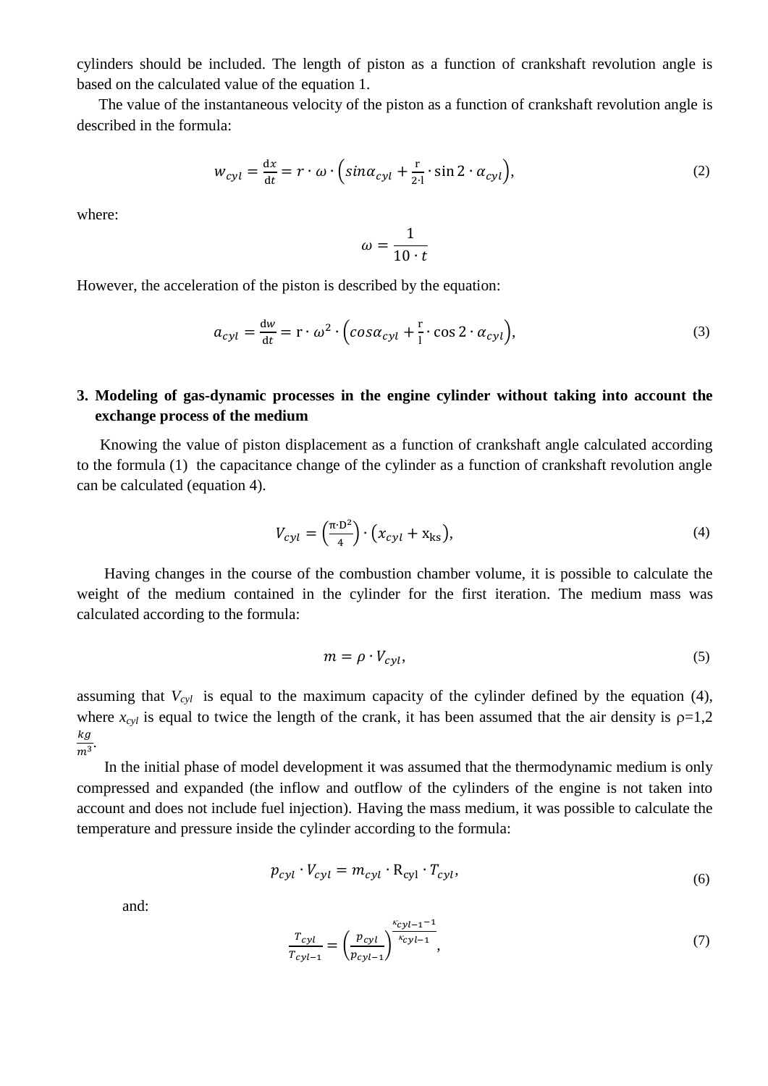cylinders should be included. The length of piston as a function of crankshaft revolution angle is based on the calculated value of the equation 1.

The value of the instantaneous velocity of the piston as a function of crankshaft revolution angle is described in the formula:

$$
w_{cyl} = \frac{dx}{dt} = r \cdot \omega \cdot \left( \sin \alpha_{cyl} + \frac{r}{2 \cdot 1} \cdot \sin 2 \cdot \alpha_{cyl} \right),\tag{2}
$$

where:

$$
\omega = \frac{1}{10 \cdot t}
$$

However, the acceleration of the piston is described by the equation:

$$
a_{cyl} = \frac{dw}{dt} = r \cdot \omega^2 \cdot \left( \cos \alpha_{cyl} + \frac{r}{l} \cdot \cos 2 \cdot \alpha_{cyl} \right),\tag{3}
$$

# **3. Modeling of gas-dynamic processes in the engine cylinder without taking into account the exchange process of the medium**

Knowing the value of piston displacement as a function of crankshaft angle calculated according to the formula (1) the capacitance change of the cylinder as a function of crankshaft revolution angle can be calculated (equation 4).

$$
V_{cyl} = \left(\frac{\pi \cdot D^2}{4}\right) \cdot \left(x_{cyl} + x_{ks}\right),\tag{4}
$$

Having changes in the course of the combustion chamber volume, it is possible to calculate the weight of the medium contained in the cylinder for the first iteration. The medium mass was calculated according to the formula:

$$
m = \rho \cdot V_{cyl},\tag{5}
$$

assuming that  $V_{cvl}$  is equal to the maximum capacity of the cylinder defined by the equation (4), where  $x_{cyl}$  is equal to twice the length of the crank, it has been assumed that the air density is  $p=1,2$  $kg$  $rac{\kappa g}{m^3}$ .

In the initial phase of model development it was assumed that the thermodynamic medium is only compressed and expanded (the inflow and outflow of the cylinders of the engine is not taken into account and does not include fuel injection). Having the mass medium, it was possible to calculate the temperature and pressure inside the cylinder according to the formula:

$$
p_{cyl} \cdot V_{cyl} = m_{cyl} \cdot R_{cyl} \cdot T_{cyl},\tag{6}
$$

and:

$$
\frac{T_{cyl}}{T_{cyl-1}} = \left(\frac{p_{cyl}}{p_{cyl-1}}\right)^{\frac{K_{cyl-1}-1}{K_{cyl-1}}},\tag{7}
$$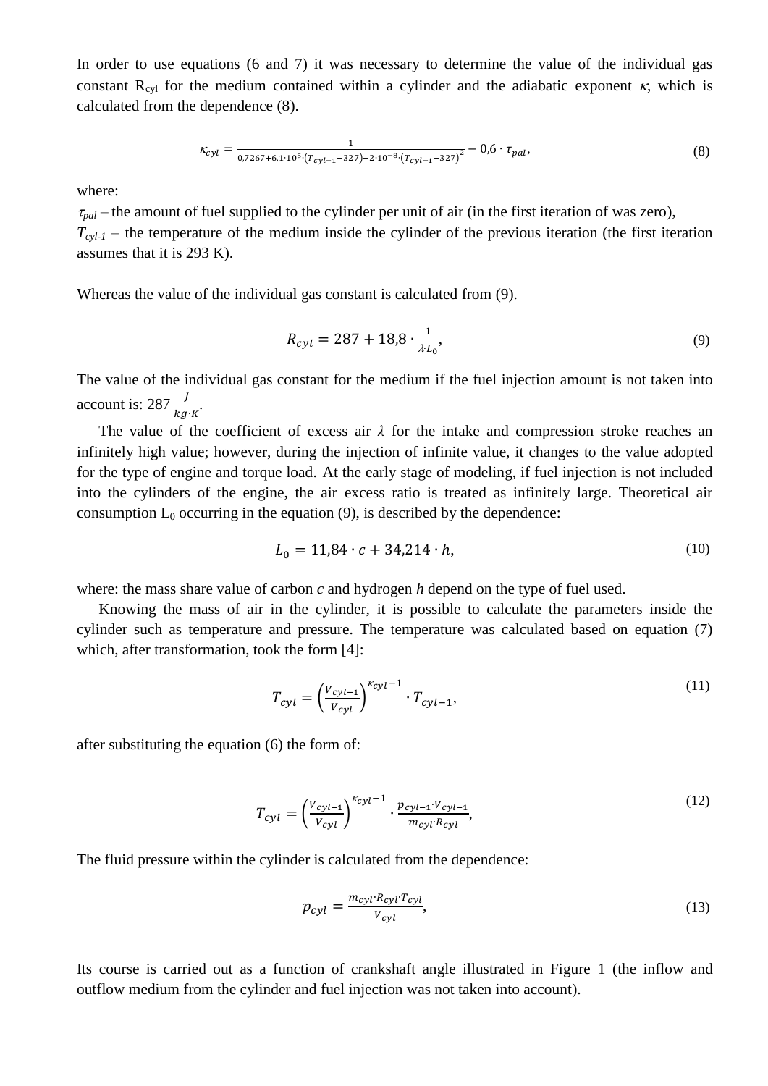In order to use equations (6 and 7) it was necessary to determine the value of the individual gas constant R<sub>cyl</sub> for the medium contained within a cylinder and the adiabatic exponent  $\kappa$ , which is calculated from the dependence (8).

$$
\kappa_{cyl} = \frac{1}{0.7267 + 6.1 \cdot 10^5 \cdot (T_{cyl-1} - 327) - 2 \cdot 10^{-8} \cdot (T_{cyl-1} - 327)^2} - 0.6 \cdot \tau_{pal},\tag{8}
$$

where:

 $\tau_{pal}$  – the amount of fuel supplied to the cylinder per unit of air (in the first iteration of was zero),  $T_{cyl-1}$  – the temperature of the medium inside the cylinder of the previous iteration (the first iteration assumes that it is 293 K).

Whereas the value of the individual gas constant is calculated from (9).

$$
R_{cyl} = 287 + 18.8 \cdot \frac{1}{\lambda L_0},\tag{9}
$$

The value of the individual gas constant for the medium if the fuel injection amount is not taken into account is: 287  $\frac{J}{kg \cdot K}$ .

The value of the coefficient of excess air  $\lambda$  for the intake and compression stroke reaches an infinitely high value; however, during the injection of infinite value, it changes to the value adopted for the type of engine and torque load. At the early stage of modeling, if fuel injection is not included into the cylinders of the engine, the air excess ratio is treated as infinitely large. Theoretical air consumption  $L_0$  occurring in the equation (9), is described by the dependence:

$$
L_0 = 11.84 \cdot c + 34.214 \cdot h,\tag{10}
$$

where: the mass share value of carbon *c* and hydrogen *h* depend on the type of fuel used.

Knowing the mass of air in the cylinder, it is possible to calculate the parameters inside the cylinder such as temperature and pressure. The temperature was calculated based on equation (7) which, after transformation, took the form [4]:

$$
T_{cyl} = \left(\frac{V_{cyl-1}}{V_{cyl}}\right)^{K_{cyl}-1} \cdot T_{cyl-1},\tag{11}
$$

after substituting the equation (6) the form of:

$$
T_{cyl} = \left(\frac{V_{cyl-1}}{V_{cyl}}\right)^{K_{cyl}-1} \cdot \frac{p_{cyl-1} \cdot V_{cyl-1}}{m_{cyl} \cdot R_{cyl}},\tag{12}
$$

The fluid pressure within the cylinder is calculated from the dependence:

$$
p_{cyl} = \frac{m_{cyl} R_{cyl} T_{cyl}}{V_{cyl}},\tag{13}
$$

Its course is carried out as a function of crankshaft angle illustrated in Figure 1 (the inflow and outflow medium from the cylinder and fuel injection was not taken into account).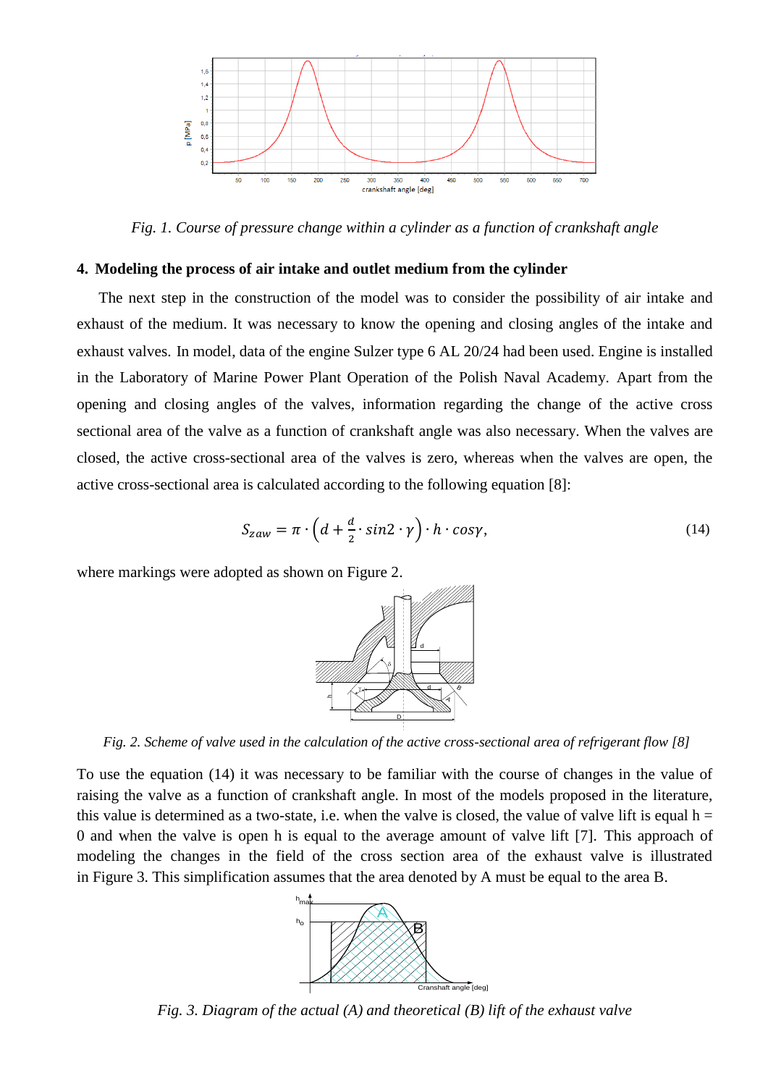

*Fig. 1. Course of pressure change within a cylinder as a function of crankshaft angle*

### **4. Modeling the process of air intake and outlet medium from the cylinder**

The next step in the construction of the model was to consider the possibility of air intake and exhaust of the medium. It was necessary to know the opening and closing angles of the intake and exhaust valves. In model, data of the engine Sulzer type 6 AL 20/24 had been used. Engine is installed in the Laboratory of Marine Power Plant Operation of the Polish Naval Academy. Apart from the opening and closing angles of the valves, information regarding the change of the active cross sectional area of the valve as a function of crankshaft angle was also necessary. When the valves are closed, the active cross-sectional area of the valves is zero, whereas when the valves are open, the active cross-sectional area is calculated according to the following equation [8]:

$$
S_{zaw} = \pi \cdot \left( d + \frac{d}{2} \cdot \sin 2 \cdot \gamma \right) \cdot h \cdot \cos \gamma, \tag{14}
$$

where markings were adopted as shown on Figure 2.



*Fig. 2. Scheme of valve used in the calculation of the active cross-sectional area of refrigerant flow [8]*

To use the equation (14) it was necessary to be familiar with the course of changes in the value of raising the valve as a function of crankshaft angle. In most of the models proposed in the literature, this value is determined as a two-state, i.e. when the valve is closed, the value of valve lift is equal  $h =$ 0 and when the valve is open h is equal to the average amount of valve lift [7]. This approach of modeling the changes in the field of the cross section area of the exhaust valve is illustrated in Figure 3. This simplification assumes that the area denoted by A must be equal to the area B.



*Fig. 3. Diagram of the actual (A) and theoretical (B) lift of the exhaust valve*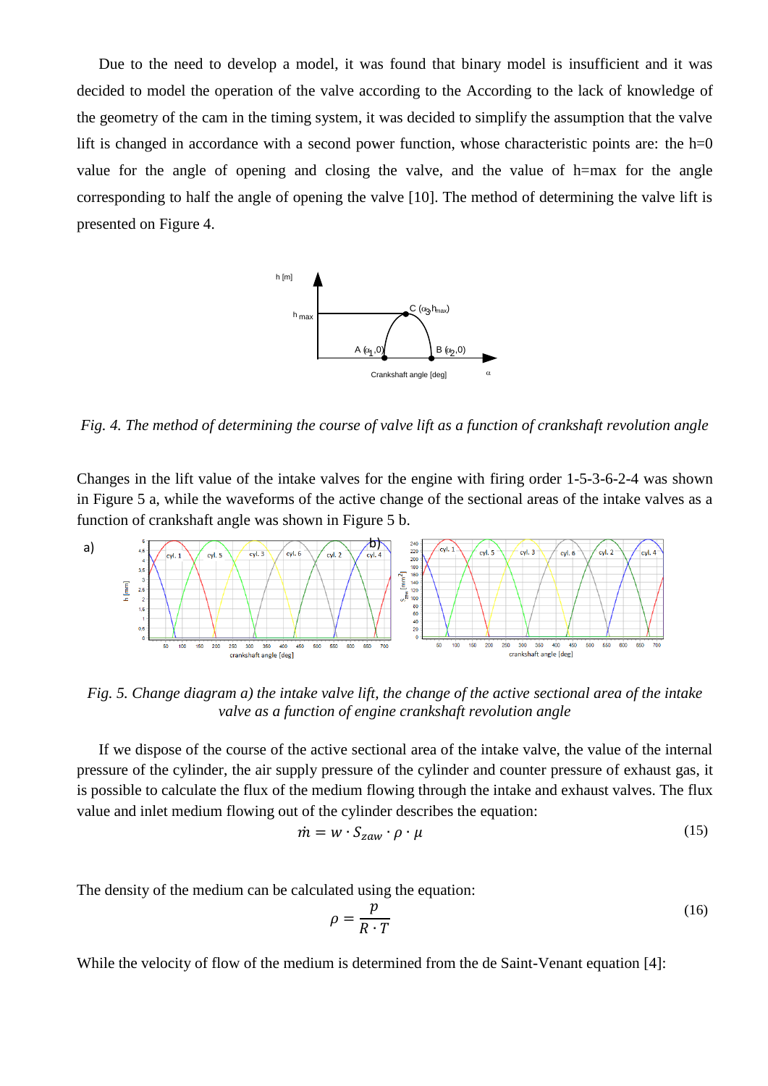Due to the need to develop a model, it was found that binary model is insufficient and it was decided to model the operation of the valve according to the According to the lack of knowledge of the geometry of the cam in the timing system, it was decided to simplify the assumption that the valve lift is changed in accordance with a second power function, whose characteristic points are: the  $h=0$ value for the angle of opening and closing the valve, and the value of h=max for the angle corresponding to half the angle of opening the valve [10]. The method of determining the valve lift is presented on Figure 4.



*Fig. 4. The method of determining the course of valve lift as a function of crankshaft revolution angle*

Changes in the lift value of the intake valves for the engine with firing order 1-5-3-6-2-4 was shown in Figure 5 a, while the waveforms of the active change of the sectional areas of the intake valves as a function of crankshaft angle was shown in Figure 5 b.



*Fig. 5. Change diagram a) the intake valve lift, the change of the active sectional area of the intake valve as a function of engine crankshaft revolution angle*

If we dispose of the course of the active sectional area of the intake valve, the value of the internal pressure of the cylinder, the air supply pressure of the cylinder and counter pressure of exhaust gas, it is possible to calculate the flux of the medium flowing through the intake and exhaust valves. The flux value and inlet medium flowing out of the cylinder describes the equation:

$$
\dot{m} = w \cdot S_{zaw} \cdot \rho \cdot \mu \tag{15}
$$

The density of the medium can be calculated using the equation:

$$
\rho = \frac{p}{R \cdot T} \tag{16}
$$

While the velocity of flow of the medium is determined from the de Saint-Venant equation [4]: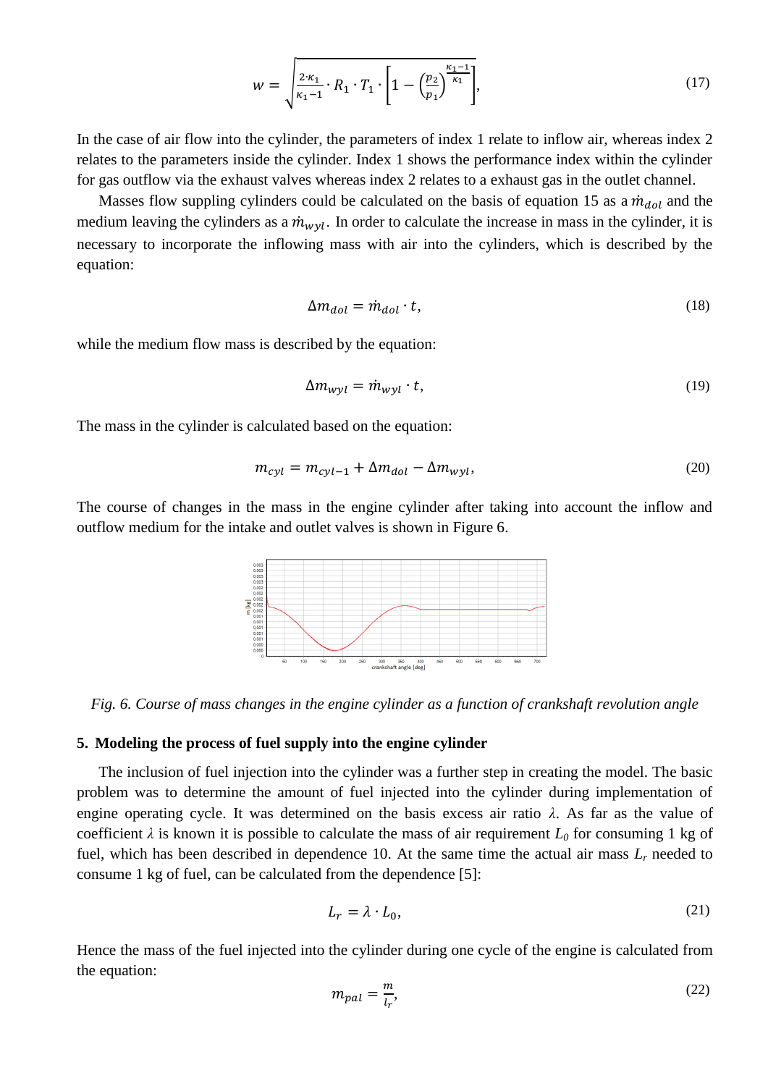$$
w = \sqrt{\frac{2 \cdot \kappa_1}{\kappa_1 - 1} \cdot R_1 \cdot T_1 \cdot \left[1 - \left(\frac{p_2}{p_1}\right)^{\frac{\kappa_1 - 1}{\kappa_1}}\right]},
$$
\n(17)

In the case of air flow into the cylinder, the parameters of index 1 relate to inflow air, whereas index 2 relates to the parameters inside the cylinder. Index 1 shows the performance index within the cylinder for gas outflow via the exhaust valves whereas index 2 relates to a exhaust gas in the outlet channel.

Masses flow suppling cylinders could be calculated on the basis of equation 15 as a  $\dot{m}_{dol}$  and the medium leaving the cylinders as a  $\dot{m}_{wvl}$ . In order to calculate the increase in mass in the cylinder, it is necessary to incorporate the inflowing mass with air into the cylinders, which is described by the equation:

$$
\Delta m_{dol} = \dot{m}_{dol} \cdot t,\tag{18}
$$

while the medium flow mass is described by the equation:

$$
\Delta m_{wyl} = \dot{m}_{wyl} \cdot t,\tag{19}
$$

The mass in the cylinder is calculated based on the equation:

$$
m_{cyl} = m_{cyl-1} + \Delta m_{dol} - \Delta m_{wyl},\tag{20}
$$

The course of changes in the mass in the engine cylinder after taking into account the inflow and outflow medium for the intake and outlet valves is shown in Figure 6.



*Fig. 6. Course of mass changes in the engine cylinder as a function of crankshaft revolution angle*

### **5. Modeling the process of fuel supply into the engine cylinder**

The inclusion of fuel injection into the cylinder was a further step in creating the model. The basic problem was to determine the amount of fuel injected into the cylinder during implementation of engine operating cycle. It was determined on the basis excess air ratio *λ*. As far as the value of coefficient  $\lambda$  is known it is possible to calculate the mass of air requirement  $L_0$  for consuming 1 kg of fuel, which has been described in dependence 10. At the same time the actual air mass *L<sup>r</sup>* needed to consume 1 kg of fuel, can be calculated from the dependence [5]:

$$
L_r = \lambda \cdot L_0,\tag{21}
$$

Hence the mass of the fuel injected into the cylinder during one cycle of the engine is calculated from the equation:

$$
m_{pal} = \frac{m}{l_r},\tag{22}
$$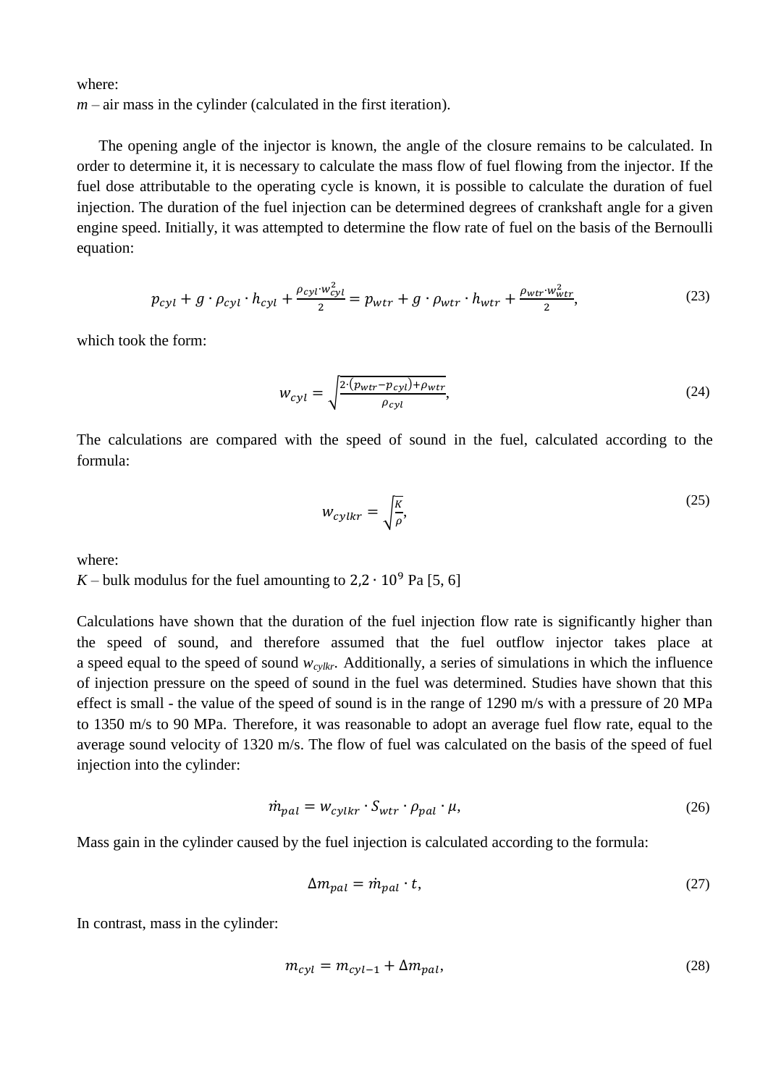where:

 $m$  – air mass in the cylinder (calculated in the first iteration).

The opening angle of the injector is known, the angle of the closure remains to be calculated. In order to determine it, it is necessary to calculate the mass flow of fuel flowing from the injector. If the fuel dose attributable to the operating cycle is known, it is possible to calculate the duration of fuel injection. The duration of the fuel injection can be determined degrees of crankshaft angle for a given engine speed. Initially, it was attempted to determine the flow rate of fuel on the basis of the Bernoulli equation:

$$
p_{cyl} + g \cdot \rho_{cyl} \cdot h_{cyl} + \frac{\rho_{cyl} w_{cyl}^2}{2} = p_{wtr} + g \cdot \rho_{wtr} \cdot h_{wtr} + \frac{\rho_{wtr} w_{wtr}^2}{2},
$$
\n(23)

which took the form:

$$
w_{cyl} = \sqrt{\frac{2 \cdot (p_{wtr} - p_{cyl}) + \rho_{wtr}}{\rho_{cyl}}},\tag{24}
$$

The calculations are compared with the speed of sound in the fuel, calculated according to the formula:

$$
w_{cylkr} = \sqrt{\frac{\kappa}{\rho}},\tag{25}
$$

where:

*K* – bulk modulus for the fuel amounting to  $2.2 \cdot 10^9$  Pa [5, 6]

Calculations have shown that the duration of the fuel injection flow rate is significantly higher than the speed of sound, and therefore assumed that the fuel outflow injector takes place at a speed equal to the speed of sound *wcylkr*. Additionally, a series of simulations in which the influence of injection pressure on the speed of sound in the fuel was determined. Studies have shown that this effect is small - the value of the speed of sound is in the range of 1290 m/s with a pressure of 20 MPa to 1350 m/s to 90 MPa. Therefore, it was reasonable to adopt an average fuel flow rate, equal to the average sound velocity of 1320 m/s. The flow of fuel was calculated on the basis of the speed of fuel injection into the cylinder:

$$
\dot{m}_{pal} = W_{cylkr} \cdot S_{wtr} \cdot \rho_{pal} \cdot \mu,\tag{26}
$$

Mass gain in the cylinder caused by the fuel injection is calculated according to the formula:

$$
\Delta m_{pal} = \dot{m}_{pal} \cdot t,\tag{27}
$$

In contrast, mass in the cylinder:

$$
m_{cyl} = m_{cyl-1} + \Delta m_{pal},\tag{28}
$$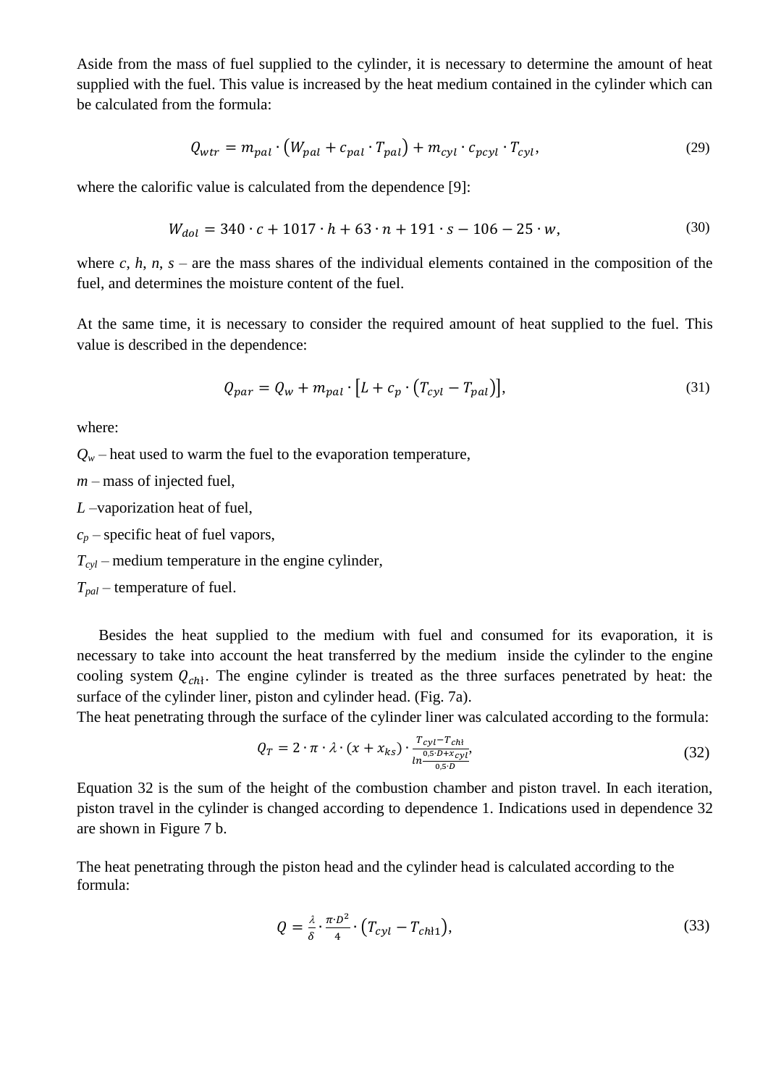Aside from the mass of fuel supplied to the cylinder, it is necessary to determine the amount of heat supplied with the fuel. This value is increased by the heat medium contained in the cylinder which can be calculated from the formula:

$$
Q_{wtr} = m_{pal} \cdot (W_{pal} + c_{pal} \cdot T_{pal}) + m_{cyl} \cdot c_{pcyl} \cdot T_{cyl},
$$
\n(29)

where the calorific value is calculated from the dependence [9]:

$$
W_{dol} = 340 \cdot c + 1017 \cdot h + 63 \cdot n + 191 \cdot s - 106 - 25 \cdot w,\tag{30}
$$

where  $c, h, n, s$  – are the mass shares of the individual elements contained in the composition of the fuel, and determines the moisture content of the fuel.

At the same time, it is necessary to consider the required amount of heat supplied to the fuel. This value is described in the dependence:

$$
Q_{par} = Q_w + m_{pal} \cdot [L + c_p \cdot (T_{cyl} - T_{pal})],
$$
\n(31)

where:

 $Q_w$  – heat used to warm the fuel to the evaporation temperature,

*m* – mass of injected fuel,

*L* –vaporization heat of fuel,

 $c_p$  – specific heat of fuel vapors,

 $T_{cvl}$  – medium temperature in the engine cylinder,

*Tpal* – temperature of fuel.

Besides the heat supplied to the medium with fuel and consumed for its evaporation, it is necessary to take into account the heat transferred by the medium inside the cylinder to the engine cooling system  $Q_{ch}$ . The engine cylinder is treated as the three surfaces penetrated by heat: the surface of the cylinder liner, piston and cylinder head. (Fig. 7a).

The heat penetrating through the surface of the cylinder liner was calculated according to the formula:

$$
Q_T = 2 \cdot \pi \cdot \lambda \cdot (x + x_{ks}) \cdot \frac{r_{cyl} - r_{chl}}{\ln \frac{0.5 \cdot D + x_{cyl}}{0.5 \cdot D}}
$$
\n
$$
(32)
$$

Equation 32 is the sum of the height of the combustion chamber and piston travel. In each iteration, piston travel in the cylinder is changed according to dependence 1. Indications used in dependence 32 are shown in Figure 7 b.

The heat penetrating through the piston head and the cylinder head is calculated according to the formula:

$$
Q = \frac{\lambda}{\delta} \cdot \frac{\pi \cdot D^2}{4} \cdot \left( T_{cyl} - T_{ch1} \right),\tag{33}
$$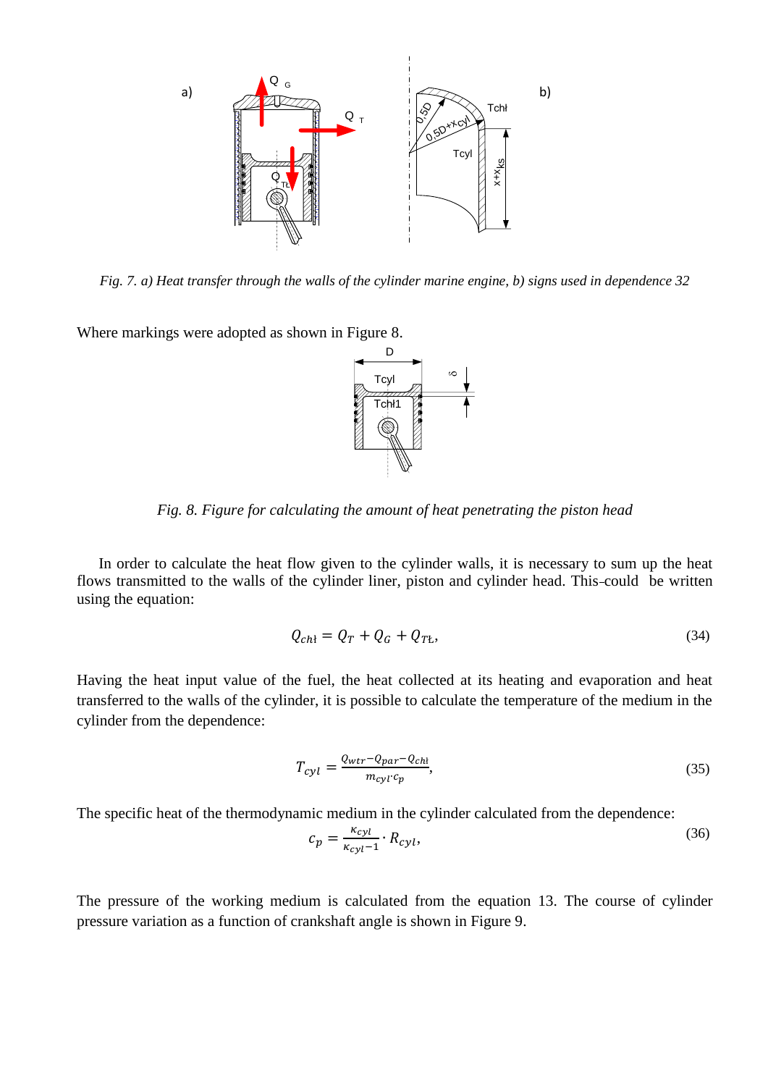

*Fig. 7. a) Heat transfer through the walls of the cylinder marine engine, b) signs used in dependence 32* 

Where markings were adopted as shown in Figure 8.



*Fig. 8. Figure for calculating the amount of heat penetrating the piston head*

In order to calculate the heat flow given to the cylinder walls, it is necessary to sum up the heat flows transmitted to the walls of the cylinder liner, piston and cylinder head. This-could be written using the equation:

$$
Q_{ch} = Q_T + Q_G + Q_{T\mathcal{L}},\tag{34}
$$

Having the heat input value of the fuel, the heat collected at its heating and evaporation and heat transferred to the walls of the cylinder, it is possible to calculate the temperature of the medium in the cylinder from the dependence:

$$
T_{cyl} = \frac{Q_{wtr} - Q_{par} - Q_{ch}}{m_{cyl} \cdot c_p},\tag{35}
$$

The specific heat of the thermodynamic medium in the cylinder calculated from the dependence:

$$
c_p = \frac{\kappa_{cyl}}{\kappa_{cyl} - 1} \cdot R_{cyl},\tag{36}
$$

The pressure of the working medium is calculated from the equation 13. The course of cylinder pressure variation as a function of crankshaft angle is shown in Figure 9.